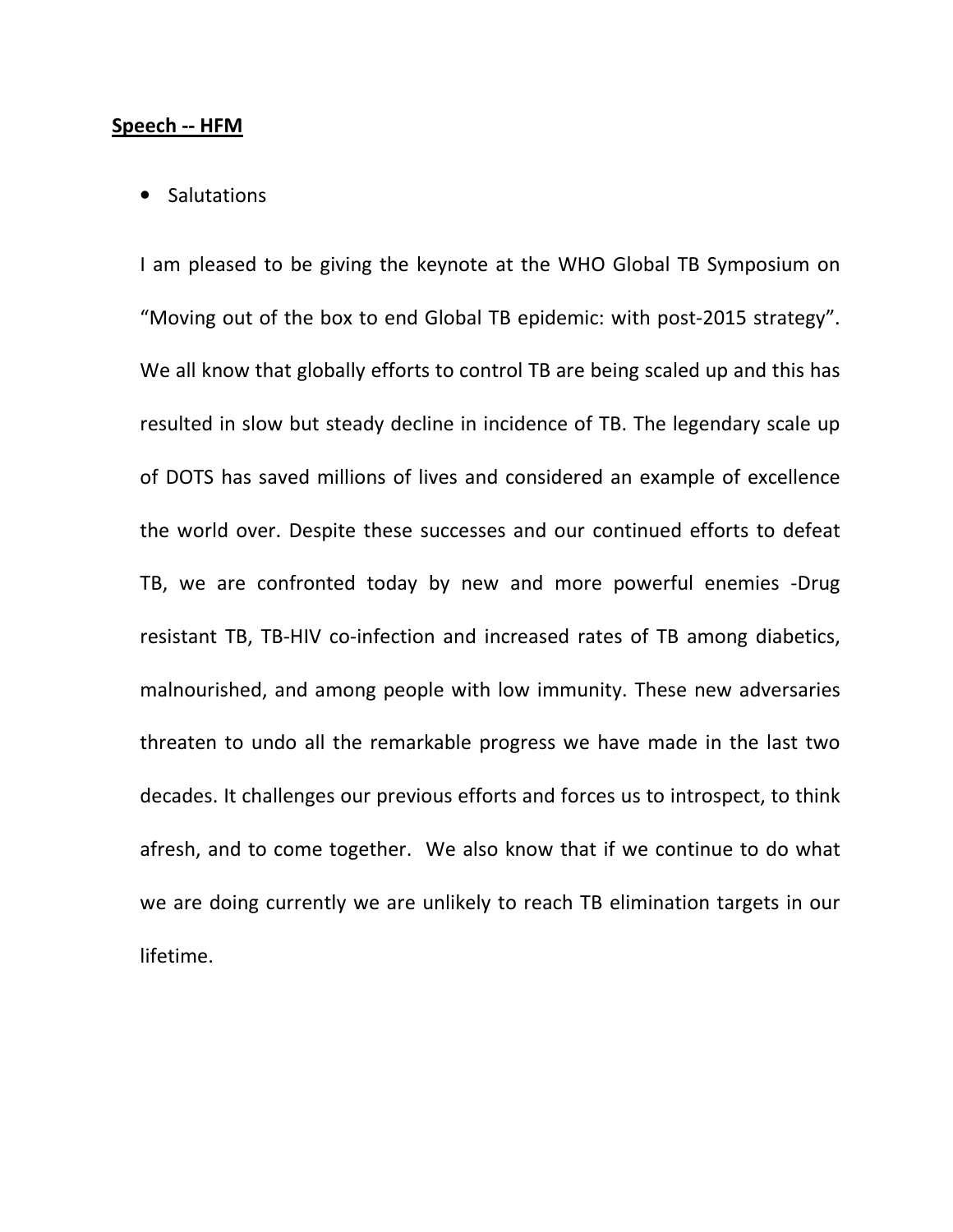## Speech -- HFM

## • Salutations

I am pleased to be giving the keynote at the WHO Global TB Symposium on "Moving out of the box to end Global TB epidemic: with post-2015 strategy". We all know that globally efforts to control TB are being scaled up and this has resulted in slow but steady decline in incidence of TB. The legendary scale up of DOTS has saved millions of lives and considered an example of excellence the world over. Despite these successes and our continued efforts to defeat TB, we are confronted today by new and more powerful enemies -Drug resistant TB, TB-HIV co-infection and increased rates of TB among diabetics, malnourished, and among people with low immunity. These new adversaries threaten to undo all the remarkable progress we have made in the last two decades. It challenges our previous efforts and forces us to introspect, to think afresh, and to come together. We also know that if we continue to do what we are doing currently we are unlikely to reach TB elimination targets in our lifetime.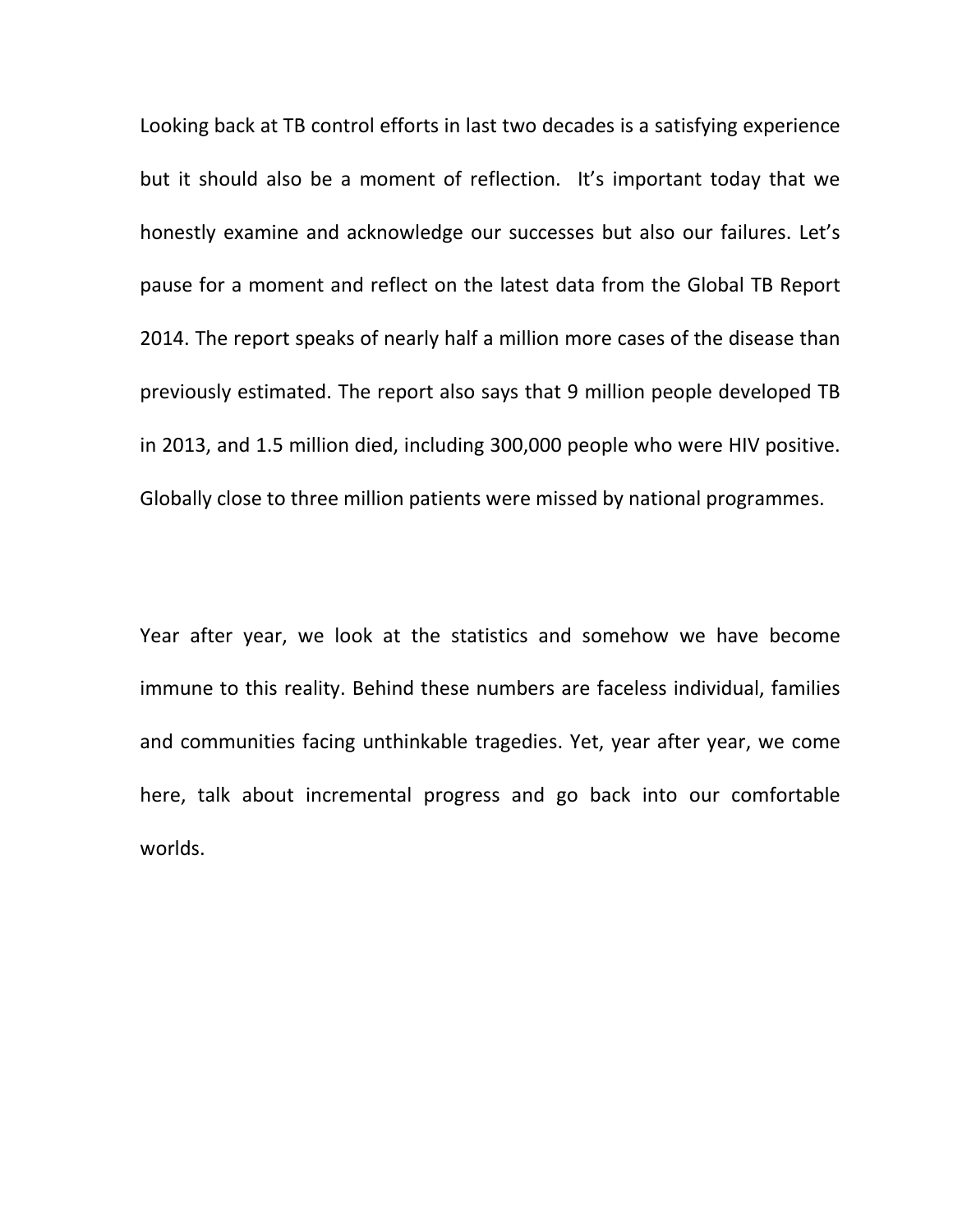Looking back at TB control efforts in last two decades is a satisfying experience but it should also be a moment of reflection. It's important today that we honestly examine and acknowledge our successes but also our failures. Let's pause for a moment and reflect on the latest data from the Global TB Report 2014. The report speaks of nearly half a million more cases of the disease than previously estimated. The report also says that 9 million people developed TB in 2013, and 1.5 million died, including 300,000 people who were HIV positive. Globally close to three million patients were missed by national programmes.

Year after year, we look at the statistics and somehow we have become immune to this reality. Behind these numbers are faceless individual, families and communities facing unthinkable tragedies. Yet, year after year, we come here, talk about incremental progress and go back into our comfortable worlds.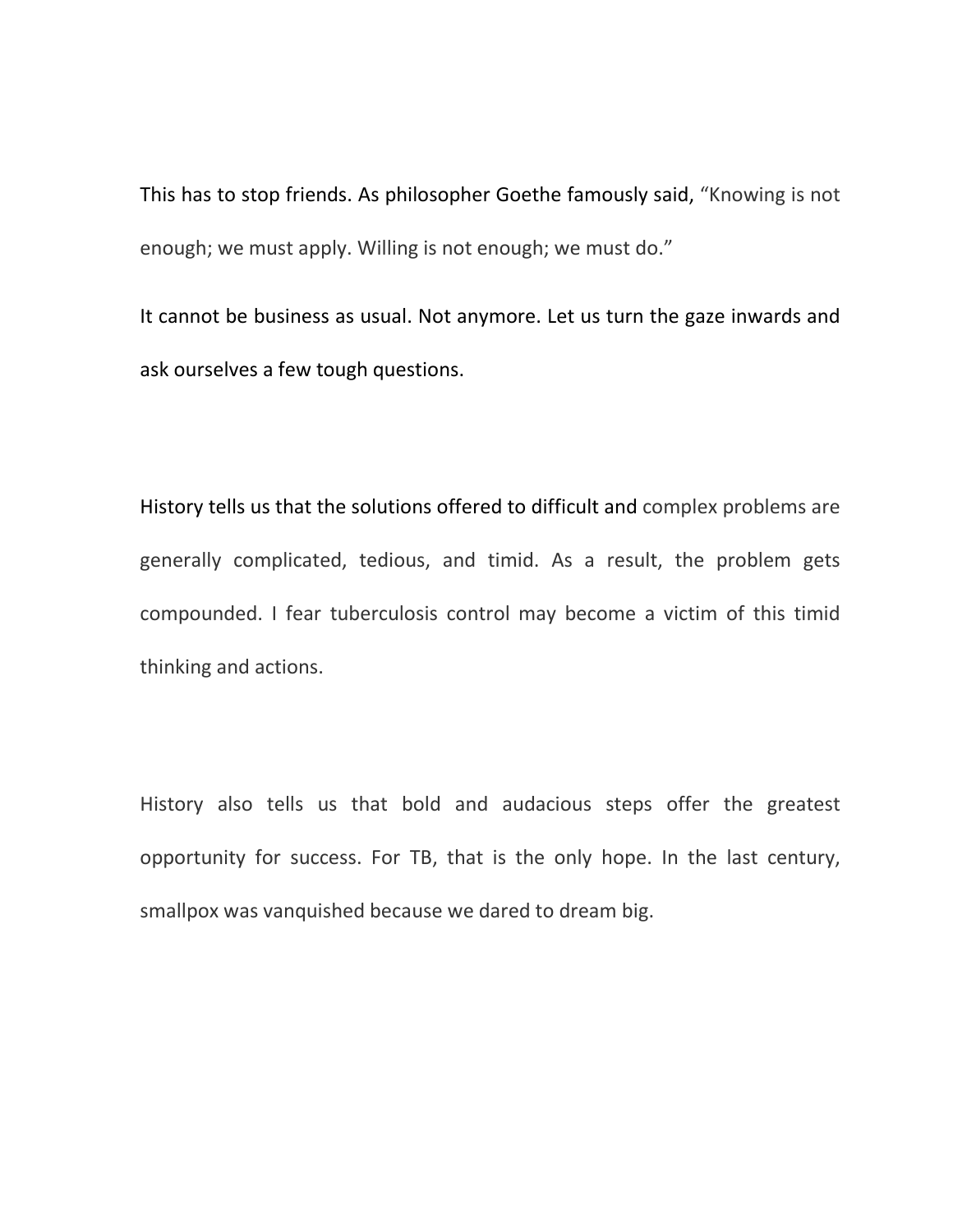This has to stop friends. As philosopher Goethe famously said, "Knowing is not enough; we must apply. Willing is not enough; we must do."

It cannot be business as usual. Not anymore. Let us turn the gaze inwards and ask ourselves a few tough questions.

History tells us that the solutions offered to difficult and complex problems are generally complicated, tedious, and timid. As a result, the problem gets compounded. I fear tuberculosis control may become a victim of this timid thinking and actions.

History also tells us that bold and audacious steps offer the greatest opportunity for success. For TB, that is the only hope. In the last century, smallpox was vanquished because we dared to dream big.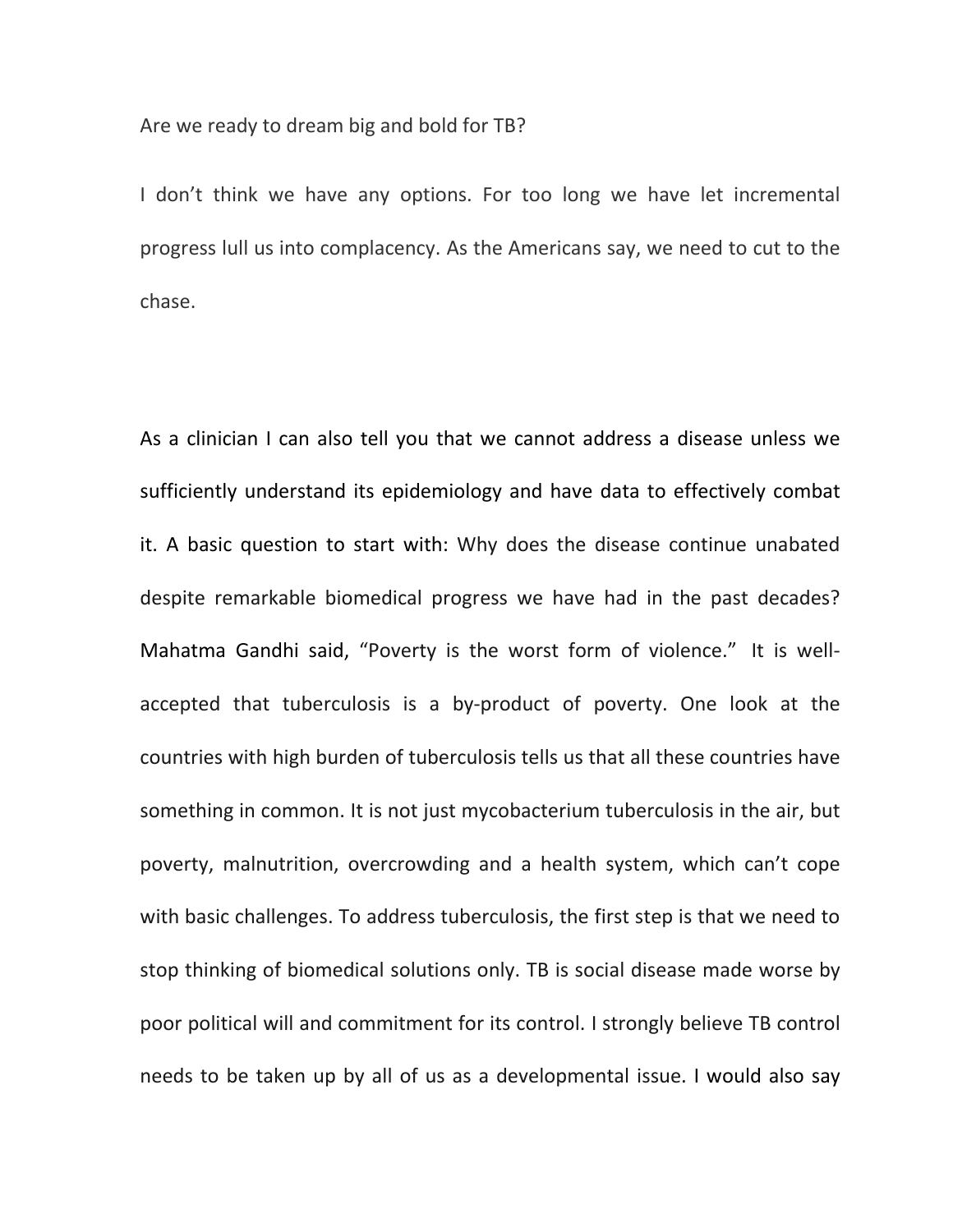Are we ready to dream big and bold for TB?

I don't think we have any options. For too long we have let incremental progress lull us into complacency. As the Americans say, we need to cut to the chase.

As a clinician I can also tell you that we cannot address a disease unless we sufficiently understand its epidemiology and have data to effectively combat it. A basic question to start with: Why does the disease continue unabated despite remarkable biomedical progress we have had in the past decades? Mahatma Gandhi said, "Poverty is the worst form of violence." It is wellaccepted that tuberculosis is a by-product of poverty. One look at the countries with high burden of tuberculosis tells us that all these countries have something in common. It is not just mycobacterium tuberculosis in the air, but poverty, malnutrition, overcrowding and a health system, which can't cope with basic challenges. To address tuberculosis, the first step is that we need to stop thinking of biomedical solutions only. TB is social disease made worse by poor political will and commitment for its control. I strongly believe TB control needs to be taken up by all of us as a developmental issue. I would also say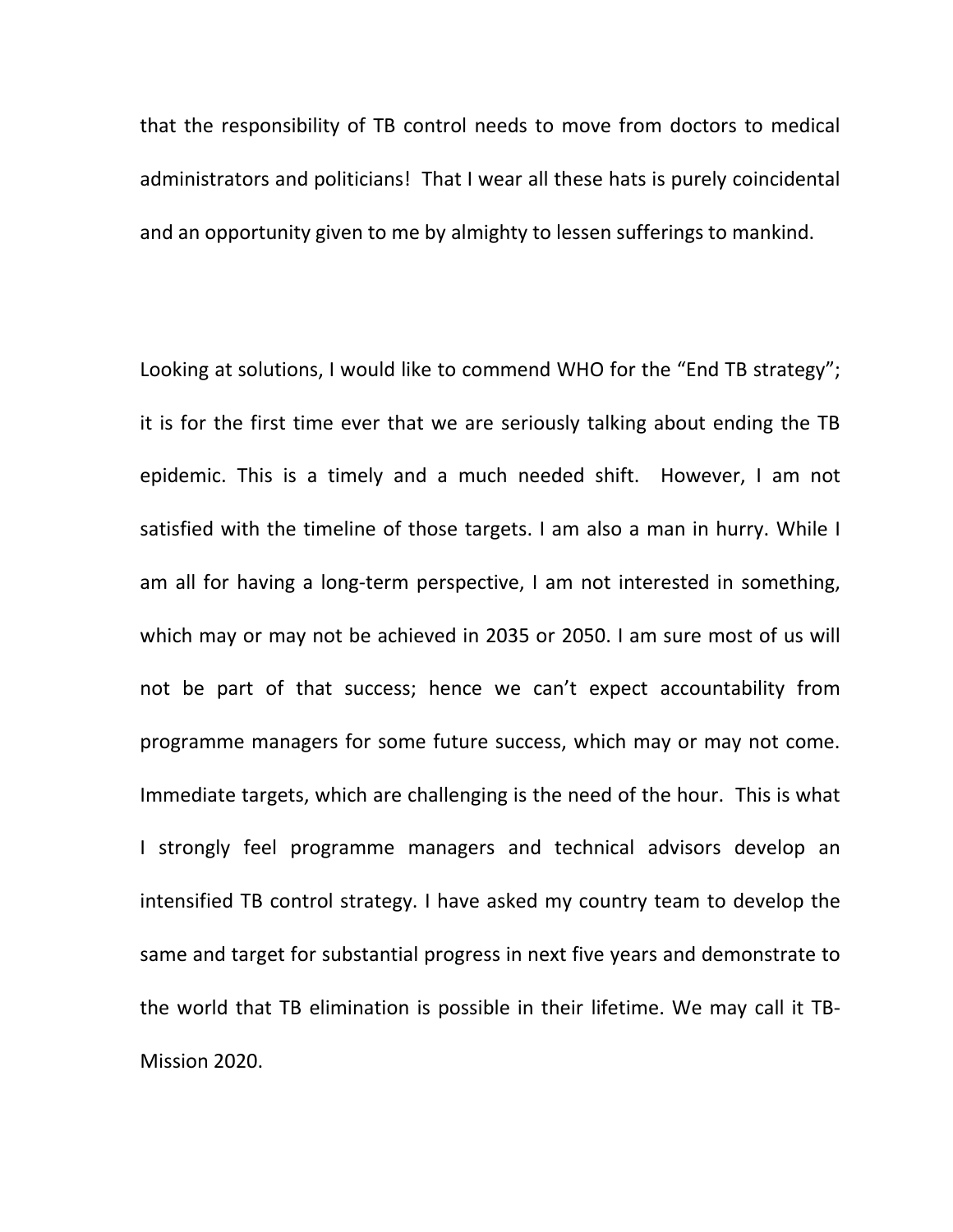that the responsibility of TB control needs to move from doctors to medical administrators and politicians! That I wear all these hats is purely coincidental and an opportunity given to me by almighty to lessen sufferings to mankind.

Looking at solutions, I would like to commend WHO for the "End TB strategy"; it is for the first time ever that we are seriously talking about ending the TB epidemic. This is a timely and a much needed shift. However, I am not satisfied with the timeline of those targets. I am also a man in hurry. While I am all for having a long-term perspective, I am not interested in something, which may or may not be achieved in 2035 or 2050. I am sure most of us will not be part of that success; hence we can't expect accountability from programme managers for some future success, which may or may not come. Immediate targets, which are challenging is the need of the hour. This is what I strongly feel programme managers and technical advisors develop an intensified TB control strategy. I have asked my country team to develop the same and target for substantial progress in next five years and demonstrate to the world that TB elimination is possible in their lifetime. We may call it TB-Mission 2020.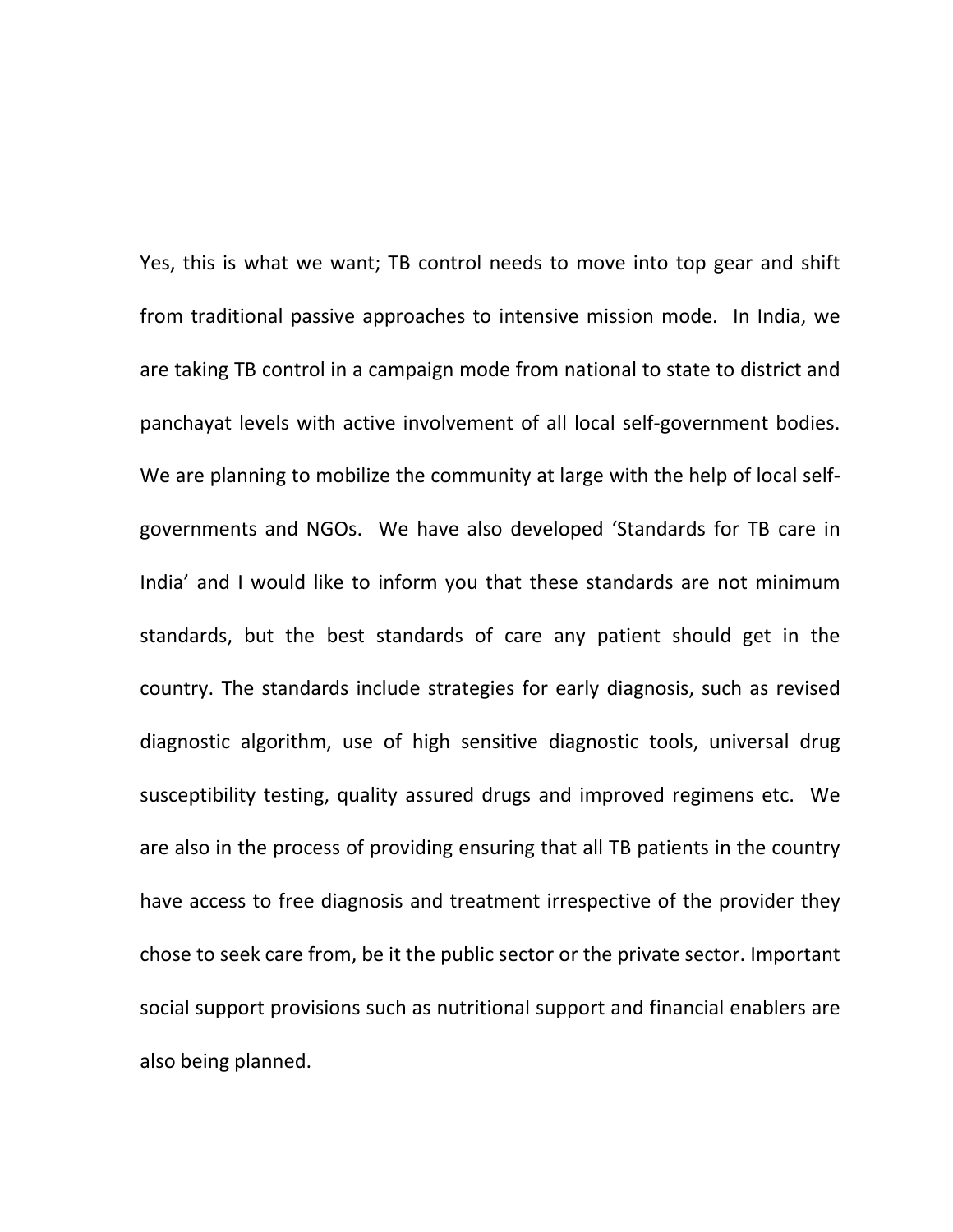Yes, this is what we want; TB control needs to move into top gear and shift from traditional passive approaches to intensive mission mode. In India, we are taking TB control in a campaign mode from national to state to district and panchayat levels with active involvement of all local self-government bodies. We are planning to mobilize the community at large with the help of local selfgovernments and NGOs. We have also developed 'Standards for TB care in India' and I would like to inform you that these standards are not minimum standards, but the best standards of care any patient should get in the country. The standards include strategies for early diagnosis, such as revised diagnostic algorithm, use of high sensitive diagnostic tools, universal drug susceptibility testing, quality assured drugs and improved regimens etc. We are also in the process of providing ensuring that all TB patients in the country have access to free diagnosis and treatment irrespective of the provider they chose to seek care from, be it the public sector or the private sector. Important social support provisions such as nutritional support and financial enablers are also being planned.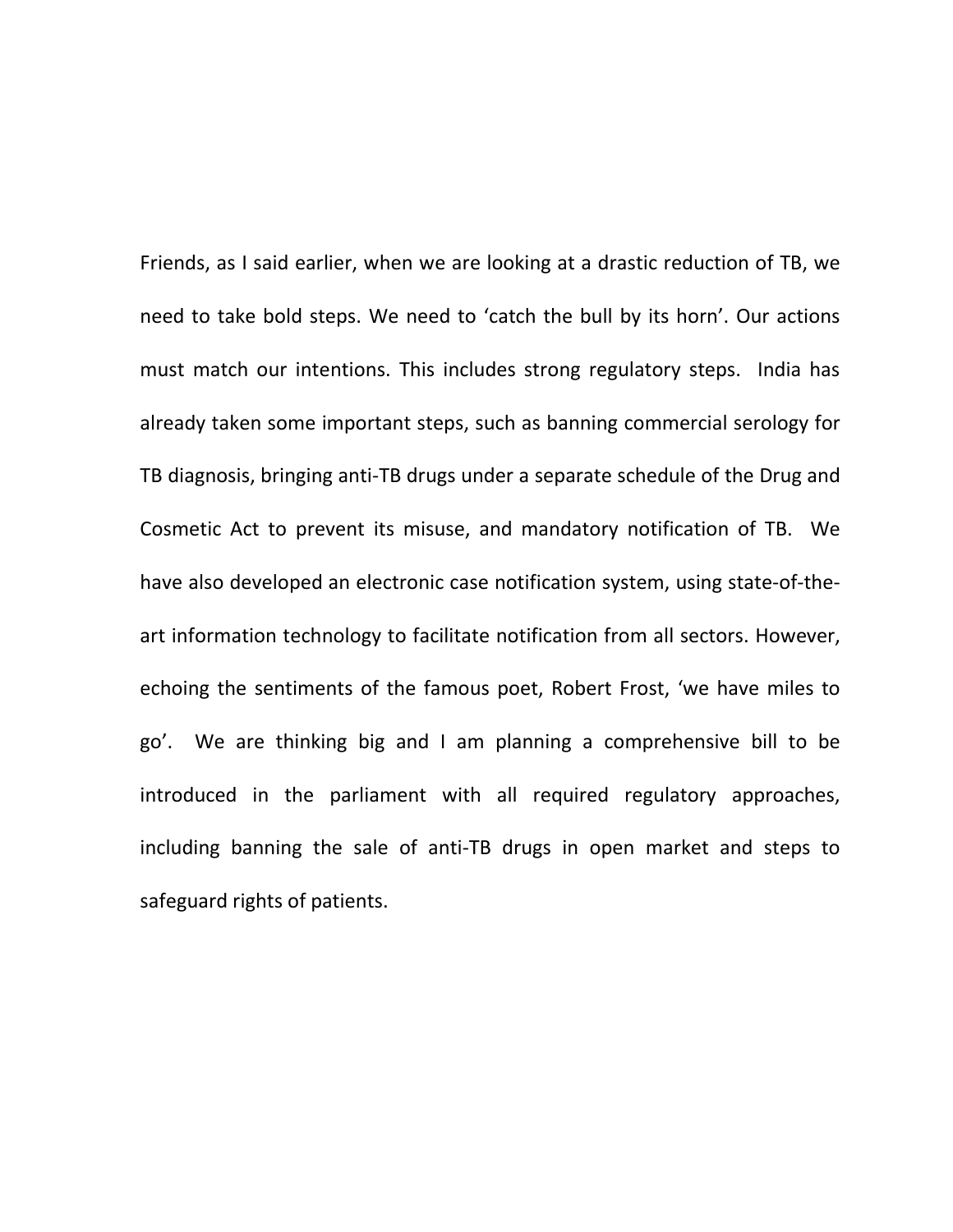Friends, as I said earlier, when we are looking at a drastic reduction of TB, we need to take bold steps. We need to 'catch the bull by its horn'. Our actions must match our intentions. This includes strong regulatory steps. India has already taken some important steps, such as banning commercial serology for TB diagnosis, bringing anti-TB drugs under a separate schedule of the Drug and Cosmetic Act to prevent its misuse, and mandatory notification of TB. We have also developed an electronic case notification system, using state-of-theart information technology to facilitate notification from all sectors. However, echoing the sentiments of the famous poet, Robert Frost, 'we have miles to go'. We are thinking big and I am planning a comprehensive bill to be introduced in the parliament with all required regulatory approaches, including banning the sale of anti-TB drugs in open market and steps to safeguard rights of patients.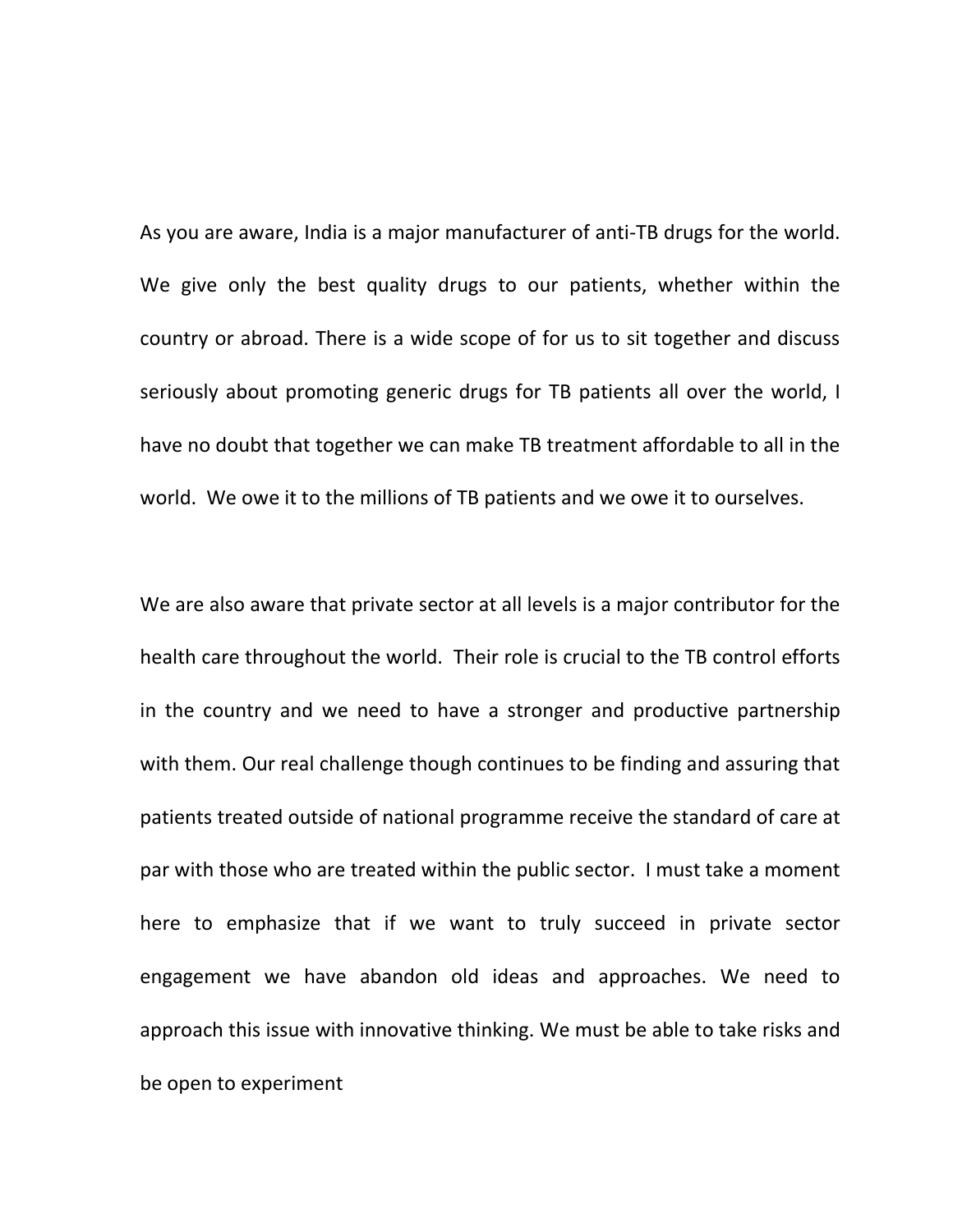As you are aware, India is a major manufacturer of anti-TB drugs for the world. We give only the best quality drugs to our patients, whether within the country or abroad. There is a wide scope of for us to sit together and discuss seriously about promoting generic drugs for TB patients all over the world, I have no doubt that together we can make TB treatment affordable to all in the world. We owe it to the millions of TB patients and we owe it to ourselves.

We are also aware that private sector at all levels is a major contributor for the health care throughout the world. Their role is crucial to the TB control efforts in the country and we need to have a stronger and productive partnership with them. Our real challenge though continues to be finding and assuring that patients treated outside of national programme receive the standard of care at par with those who are treated within the public sector. I must take a moment here to emphasize that if we want to truly succeed in private sector engagement we have abandon old ideas and approaches. We need to approach this issue with innovative thinking. We must be able to take risks and be open to experiment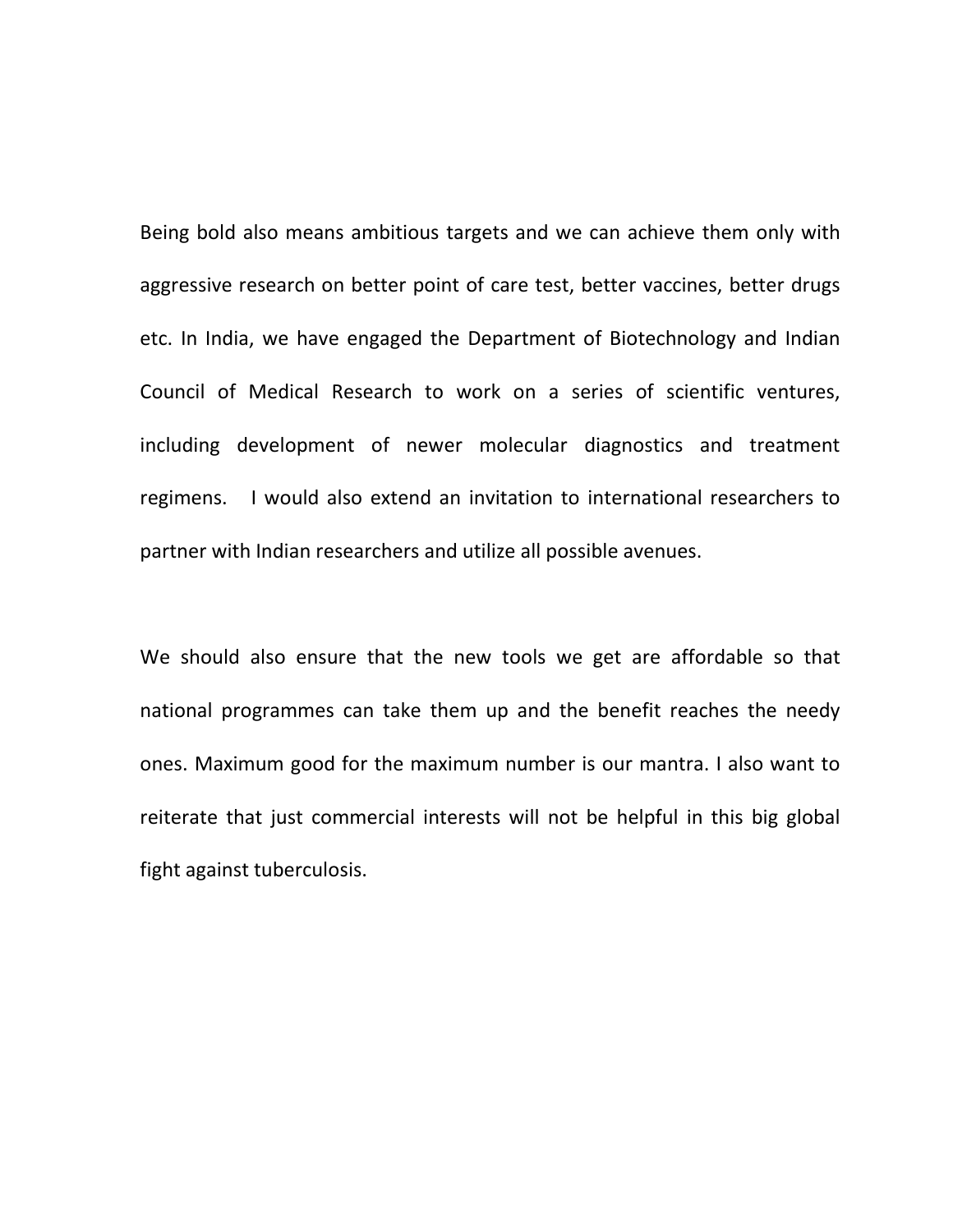Being bold also means ambitious targets and we can achieve them only with aggressive research on better point of care test, better vaccines, better drugs etc. In India, we have engaged the Department of Biotechnology and Indian Council of Medical Research to work on a series of scientific ventures, including development of newer molecular diagnostics and treatment regimens. I would also extend an invitation to international researchers to partner with Indian researchers and utilize all possible avenues.

We should also ensure that the new tools we get are affordable so that national programmes can take them up and the benefit reaches the needy ones. Maximum good for the maximum number is our mantra. I also want to reiterate that just commercial interests will not be helpful in this big global fight against tuberculosis.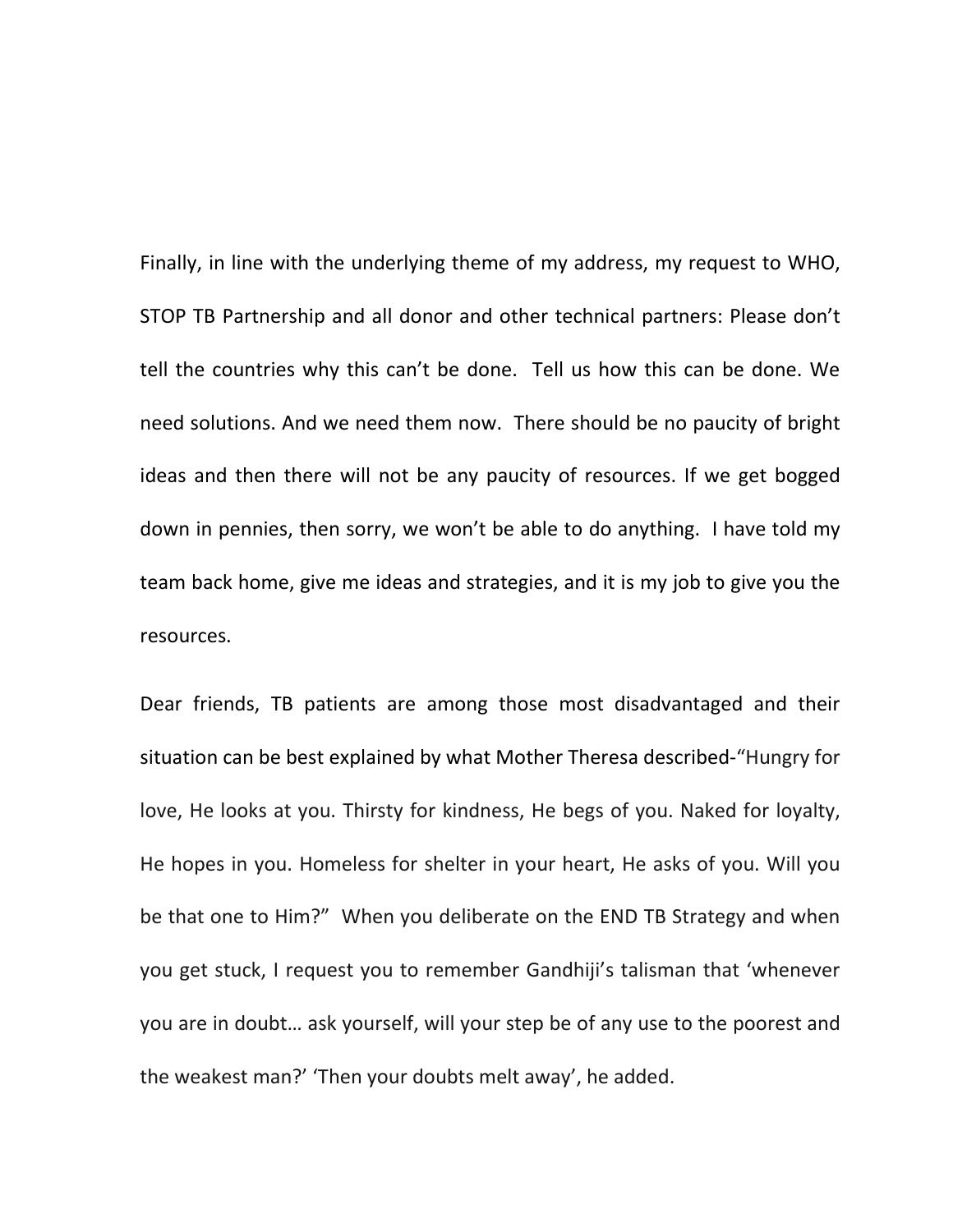Finally, in line with the underlying theme of my address, my request to WHO, STOP TB Partnership and all donor and other technical partners: Please don't tell the countries why this can't be done. Tell us how this can be done. We need solutions. And we need them now. There should be no paucity of bright ideas and then there will not be any paucity of resources. If we get bogged down in pennies, then sorry, we won't be able to do anything. I have told my team back home, give me ideas and strategies, and it is my job to give you the resources.

Dear friends, TB patients are among those most disadvantaged and their situation can be best explained by what Mother Theresa described-"Hungry for love, He looks at you. Thirsty for kindness, He begs of you. Naked for loyalty, He hopes in you. Homeless for shelter in your heart, He asks of you. Will you be that one to Him?" When you deliberate on the END TB Strategy and when you get stuck, I request you to remember Gandhiji's talisman that 'whenever you are in doubt… ask yourself, will your step be of any use to the poorest and the weakest man?' 'Then your doubts melt away', he added.